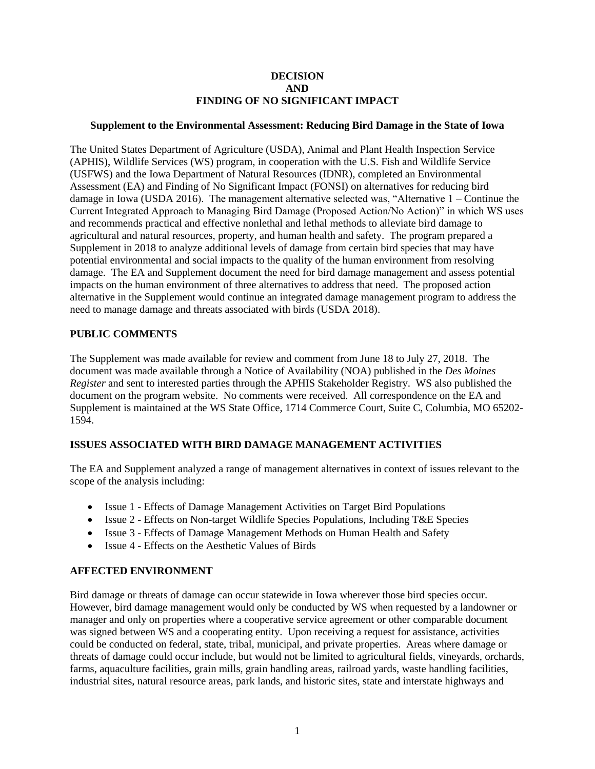#### **DECISION AND FINDING OF NO SIGNIFICANT IMPACT**

#### **Supplement to the Environmental Assessment: Reducing Bird Damage in the State of Iowa**

The United States Department of Agriculture (USDA), Animal and Plant Health Inspection Service (APHIS), Wildlife Services (WS) program, in cooperation with the U.S. Fish and Wildlife Service (USFWS) and the Iowa Department of Natural Resources (IDNR), completed an Environmental Assessment (EA) and Finding of No Significant Impact (FONSI) on alternatives for reducing bird damage in Iowa (USDA 2016). The management alternative selected was, "Alternative  $1 -$ Continue the Current Integrated Approach to Managing Bird Damage (Proposed Action/No Action)" in which WS uses and recommends practical and effective nonlethal and lethal methods to alleviate bird damage to agricultural and natural resources, property, and human health and safety. The program prepared a Supplement in 2018 to analyze additional levels of damage from certain bird species that may have potential environmental and social impacts to the quality of the human environment from resolving damage. The EA and Supplement document the need for bird damage management and assess potential impacts on the human environment of three alternatives to address that need. The proposed action alternative in the Supplement would continue an integrated damage management program to address the need to manage damage and threats associated with birds (USDA 2018).

### **PUBLIC COMMENTS**

The Supplement was made available for review and comment from June 18 to July 27, 2018. The document was made available through a Notice of Availability (NOA) published in the *Des Moines Register* and sent to interested parties through the APHIS Stakeholder Registry. WS also published the document on the program website. No comments were received. All correspondence on the EA and Supplement is maintained at the WS State Office, 1714 Commerce Court, Suite C, Columbia, MO 65202- 1594.

### **ISSUES ASSOCIATED WITH BIRD DAMAGE MANAGEMENT ACTIVITIES**

The EA and Supplement analyzed a range of management alternatives in context of issues relevant to the scope of the analysis including:

- Issue 1 Effects of Damage Management Activities on Target Bird Populations
- Issue 2 Effects on Non-target Wildlife Species Populations, Including T&E Species
- Issue 3 Effects of Damage Management Methods on Human Health and Safety
- Issue 4 Effects on the Aesthetic Values of Birds

### **AFFECTED ENVIRONMENT**

Bird damage or threats of damage can occur statewide in Iowa wherever those bird species occur. However, bird damage management would only be conducted by WS when requested by a landowner or manager and only on properties where a cooperative service agreement or other comparable document was signed between WS and a cooperating entity. Upon receiving a request for assistance, activities could be conducted on federal, state, tribal, municipal, and private properties. Areas where damage or threats of damage could occur include, but would not be limited to agricultural fields, vineyards, orchards, farms, aquaculture facilities, grain mills, grain handling areas, railroad yards, waste handling facilities, industrial sites, natural resource areas, park lands, and historic sites, state and interstate highways and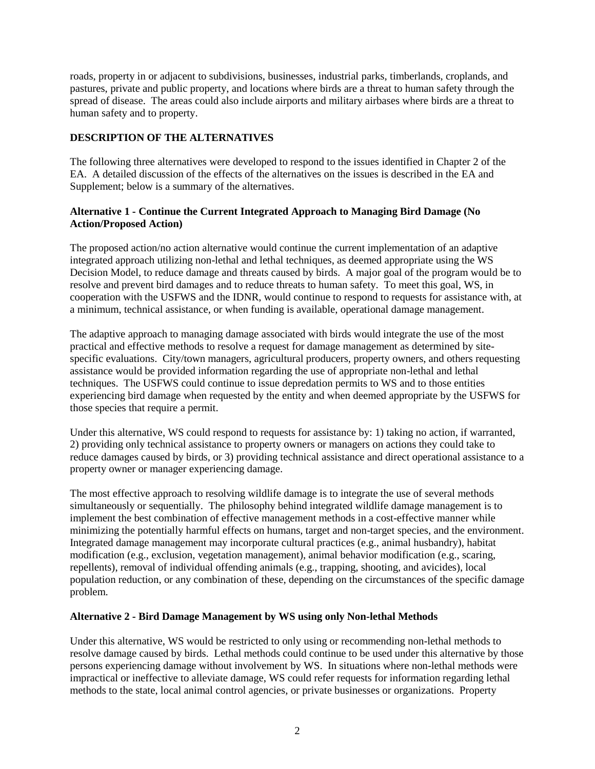roads, property in or adjacent to subdivisions, businesses, industrial parks, timberlands, croplands, and pastures, private and public property, and locations where birds are a threat to human safety through the spread of disease. The areas could also include airports and military airbases where birds are a threat to human safety and to property.

## **DESCRIPTION OF THE ALTERNATIVES**

The following three alternatives were developed to respond to the issues identified in Chapter 2 of the EA. A detailed discussion of the effects of the alternatives on the issues is described in the EA and Supplement; below is a summary of the alternatives.

## **Alternative 1 - Continue the Current Integrated Approach to Managing Bird Damage (No Action/Proposed Action)**

The proposed action/no action alternative would continue the current implementation of an adaptive integrated approach utilizing non-lethal and lethal techniques, as deemed appropriate using the WS Decision Model, to reduce damage and threats caused by birds. A major goal of the program would be to resolve and prevent bird damages and to reduce threats to human safety. To meet this goal, WS, in cooperation with the USFWS and the IDNR, would continue to respond to requests for assistance with, at a minimum, technical assistance, or when funding is available, operational damage management.

The adaptive approach to managing damage associated with birds would integrate the use of the most practical and effective methods to resolve a request for damage management as determined by sitespecific evaluations. City/town managers, agricultural producers, property owners, and others requesting assistance would be provided information regarding the use of appropriate non-lethal and lethal techniques. The USFWS could continue to issue depredation permits to WS and to those entities experiencing bird damage when requested by the entity and when deemed appropriate by the USFWS for those species that require a permit.

Under this alternative, WS could respond to requests for assistance by: 1) taking no action, if warranted, 2) providing only technical assistance to property owners or managers on actions they could take to reduce damages caused by birds, or 3) providing technical assistance and direct operational assistance to a property owner or manager experiencing damage.

The most effective approach to resolving wildlife damage is to integrate the use of several methods simultaneously or sequentially. The philosophy behind integrated wildlife damage management is to implement the best combination of effective management methods in a cost-effective manner while minimizing the potentially harmful effects on humans, target and non-target species, and the environment. Integrated damage management may incorporate cultural practices (e.g., animal husbandry), habitat modification (e.g., exclusion, vegetation management), animal behavior modification (e.g., scaring, repellents), removal of individual offending animals (e.g., trapping, shooting, and avicides), local population reduction, or any combination of these, depending on the circumstances of the specific damage problem.

### **Alternative 2 - Bird Damage Management by WS using only Non-lethal Methods**

Under this alternative, WS would be restricted to only using or recommending non-lethal methods to resolve damage caused by birds. Lethal methods could continue to be used under this alternative by those persons experiencing damage without involvement by WS. In situations where non-lethal methods were impractical or ineffective to alleviate damage, WS could refer requests for information regarding lethal methods to the state, local animal control agencies, or private businesses or organizations. Property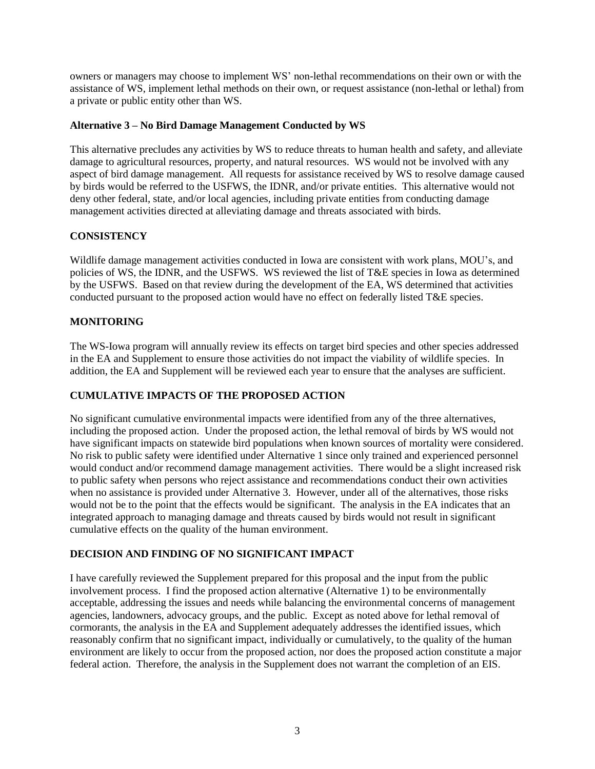owners or managers may choose to implement WS' non-lethal recommendations on their own or with the assistance of WS, implement lethal methods on their own, or request assistance (non-lethal or lethal) from a private or public entity other than WS.

## **Alternative 3 – No Bird Damage Management Conducted by WS**

This alternative precludes any activities by WS to reduce threats to human health and safety, and alleviate damage to agricultural resources, property, and natural resources. WS would not be involved with any aspect of bird damage management. All requests for assistance received by WS to resolve damage caused by birds would be referred to the USFWS, the IDNR, and/or private entities. This alternative would not deny other federal, state, and/or local agencies, including private entities from conducting damage management activities directed at alleviating damage and threats associated with birds.

## **CONSISTENCY**

Wildlife damage management activities conducted in Iowa are consistent with work plans, MOU's, and policies of WS, the IDNR, and the USFWS. WS reviewed the list of T&E species in Iowa as determined by the USFWS. Based on that review during the development of the EA, WS determined that activities conducted pursuant to the proposed action would have no effect on federally listed T&E species.

## **MONITORING**

The WS-Iowa program will annually review its effects on target bird species and other species addressed in the EA and Supplement to ensure those activities do not impact the viability of wildlife species. In addition, the EA and Supplement will be reviewed each year to ensure that the analyses are sufficient.

## **CUMULATIVE IMPACTS OF THE PROPOSED ACTION**

No significant cumulative environmental impacts were identified from any of the three alternatives, including the proposed action. Under the proposed action, the lethal removal of birds by WS would not have significant impacts on statewide bird populations when known sources of mortality were considered. No risk to public safety were identified under Alternative 1 since only trained and experienced personnel would conduct and/or recommend damage management activities. There would be a slight increased risk to public safety when persons who reject assistance and recommendations conduct their own activities when no assistance is provided under Alternative 3. However, under all of the alternatives, those risks would not be to the point that the effects would be significant. The analysis in the EA indicates that an integrated approach to managing damage and threats caused by birds would not result in significant cumulative effects on the quality of the human environment.

## **DECISION AND FINDING OF NO SIGNIFICANT IMPACT**

I have carefully reviewed the Supplement prepared for this proposal and the input from the public involvement process. I find the proposed action alternative (Alternative 1) to be environmentally acceptable, addressing the issues and needs while balancing the environmental concerns of management agencies, landowners, advocacy groups, and the public. Except as noted above for lethal removal of cormorants, the analysis in the EA and Supplement adequately addresses the identified issues, which reasonably confirm that no significant impact, individually or cumulatively, to the quality of the human environment are likely to occur from the proposed action, nor does the proposed action constitute a major federal action. Therefore, the analysis in the Supplement does not warrant the completion of an EIS.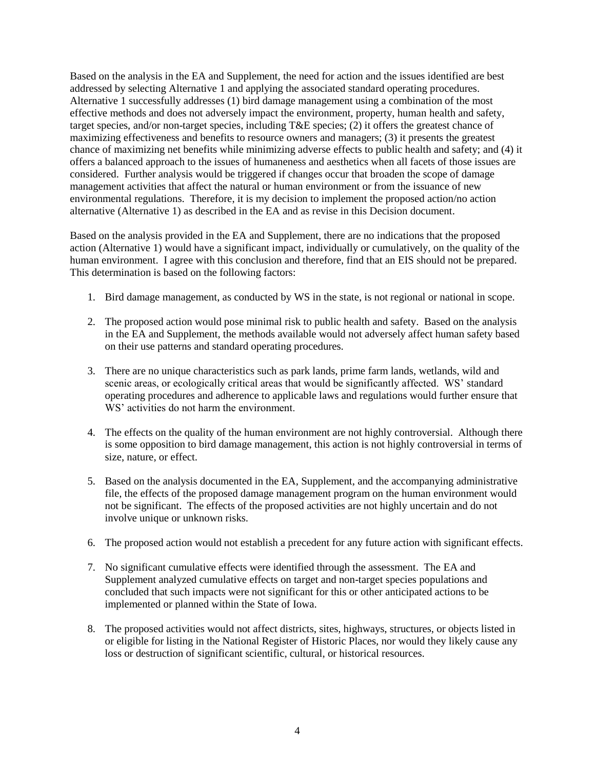Based on the analysis in the EA and Supplement, the need for action and the issues identified are best addressed by selecting Alternative 1 and applying the associated standard operating procedures. Alternative 1 successfully addresses (1) bird damage management using a combination of the most effective methods and does not adversely impact the environment, property, human health and safety, target species, and/or non-target species, including T&E species; (2) it offers the greatest chance of maximizing effectiveness and benefits to resource owners and managers; (3) it presents the greatest chance of maximizing net benefits while minimizing adverse effects to public health and safety; and (4) it offers a balanced approach to the issues of humaneness and aesthetics when all facets of those issues are considered. Further analysis would be triggered if changes occur that broaden the scope of damage management activities that affect the natural or human environment or from the issuance of new environmental regulations. Therefore, it is my decision to implement the proposed action/no action alternative (Alternative 1) as described in the EA and as revise in this Decision document.

Based on the analysis provided in the EA and Supplement, there are no indications that the proposed action (Alternative 1) would have a significant impact, individually or cumulatively, on the quality of the human environment. I agree with this conclusion and therefore, find that an EIS should not be prepared. This determination is based on the following factors:

- 1. Bird damage management, as conducted by WS in the state, is not regional or national in scope.
- 2. The proposed action would pose minimal risk to public health and safety. Based on the analysis in the EA and Supplement, the methods available would not adversely affect human safety based on their use patterns and standard operating procedures.
- 3. There are no unique characteristics such as park lands, prime farm lands, wetlands, wild and scenic areas, or ecologically critical areas that would be significantly affected. WS' standard operating procedures and adherence to applicable laws and regulations would further ensure that WS' activities do not harm the environment.
- 4. The effects on the quality of the human environment are not highly controversial. Although there is some opposition to bird damage management, this action is not highly controversial in terms of size, nature, or effect.
- 5. Based on the analysis documented in the EA, Supplement, and the accompanying administrative file, the effects of the proposed damage management program on the human environment would not be significant. The effects of the proposed activities are not highly uncertain and do not involve unique or unknown risks.
- 6. The proposed action would not establish a precedent for any future action with significant effects.
- 7. No significant cumulative effects were identified through the assessment. The EA and Supplement analyzed cumulative effects on target and non-target species populations and concluded that such impacts were not significant for this or other anticipated actions to be implemented or planned within the State of Iowa.
- 8. The proposed activities would not affect districts, sites, highways, structures, or objects listed in or eligible for listing in the National Register of Historic Places, nor would they likely cause any loss or destruction of significant scientific, cultural, or historical resources.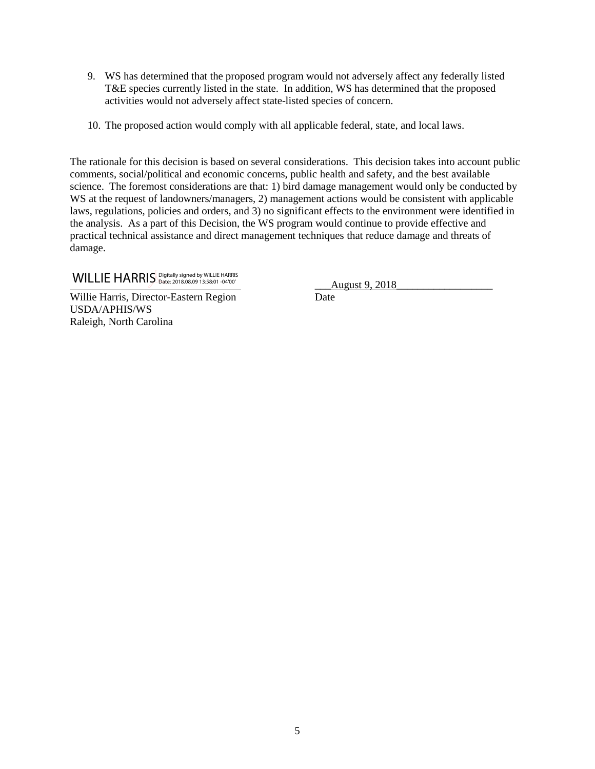- 9. WS has determined that the proposed program would not adversely affect any federally listed T&E species currently listed in the state. In addition, WS has determined that the proposed activities would not adversely affect state-listed species of concern.
- 10. The proposed action would comply with all applicable federal, state, and local laws.

The rationale for this decision is based on several considerations. This decision takes into account public comments, social/political and economic concerns, public health and safety, and the best available science. The foremost considerations are that: 1) bird damage management would only be conducted by WS at the request of landowners/managers, 2) management actions would be consistent with applicable laws, regulations, policies and orders, and 3) no significant effects to the environment were identified in the analysis. As a part of this Decision, the WS program would continue to provide effective and practical technical assistance and direct management techniques that reduce damage and threats of damage.

# WILLIE HARRIS Digitally signed by WILLIE HARRIS (2018) 2018<br>
<u>August 9, 2018</u>

Willie Harris, Director-Eastern Region Date USDA/APHIS/WS Raleigh, North Carolina